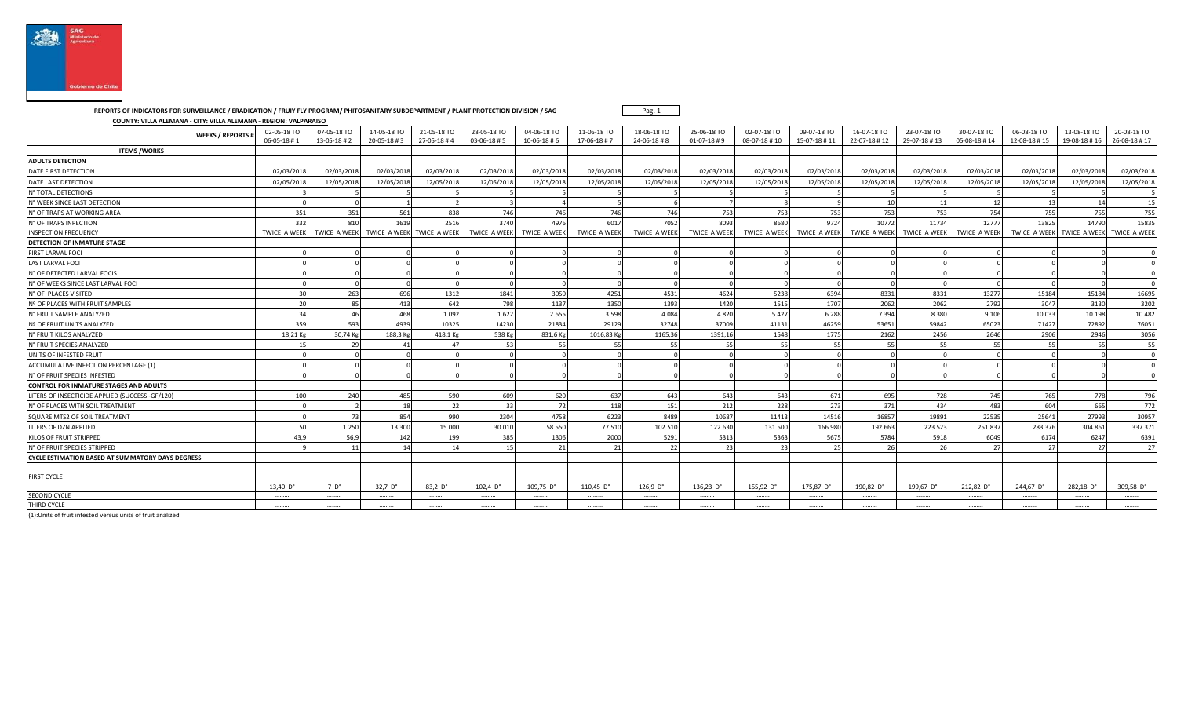

 **REPORTS OF INDICATORS FOR SURVEILLANCE / ERADICATION / FRUIY FLY PROGRAM/ PHITOSANITARY SUBDEPARTMENT / PLANT PROTECTION DIVISION / SAG COUNTY: VILLA ALEMANA - CITY: VILLA ALEMANA - REGION: VALPARAISO** 

| COONTT: VILLA ALEIVIANA - CITT: VILLA ALEIVIANA - KEGION: VALPAKAISO |                                   |                            |                                        |                           |                            |                                |                           |                           |                                      |                             |                             |                             |                             |                             |                             |                             |                             |
|----------------------------------------------------------------------|-----------------------------------|----------------------------|----------------------------------------|---------------------------|----------------------------|--------------------------------|---------------------------|---------------------------|--------------------------------------|-----------------------------|-----------------------------|-----------------------------|-----------------------------|-----------------------------|-----------------------------|-----------------------------|-----------------------------|
| <b>WEEKS / REPORTS#</b>                                              | 02-05-18 TO<br>$06 - 05 - 18 + 1$ | 07-05-18 TO<br>13-05-18 #2 | 14-05-18 TO<br>$20 - 05 - 18 + 3$      | 21-05-18 TO<br>27-05-18#4 | 28-05-18 TO<br>03-06-18 #5 | 04-06-18 TO<br>$10-06-18 \# 6$ | 11-06-18 TO<br>17-06-18#7 | 18-06-18 TO<br>24-06-18#8 | 25-06-18 TO<br>$01-07-18 \text{ H}9$ | 02-07-18 TO<br>08-07-18 #10 | 09-07-18 TO<br>15-07-18 #11 | 16-07-18 TO<br>22-07-18 #12 | 23-07-18 TO<br>29-07-18 #13 | 30-07-18 TO<br>05-08-18 #14 | 06-08-18 TO<br>12-08-18 #15 | 13-08-18 TO<br>19-08-18 #16 | 20-08-18 TO<br>26-08-18 #17 |
| <b>ITEMS /WORKS</b>                                                  |                                   |                            |                                        |                           |                            |                                |                           |                           |                                      |                             |                             |                             |                             |                             |                             |                             |                             |
| <b>ADULTS DETECTION</b>                                              |                                   |                            |                                        |                           |                            |                                |                           |                           |                                      |                             |                             |                             |                             |                             |                             |                             |                             |
| DATE FIRST DETECTION                                                 | 02/03/201                         | 02/03/2018                 | 02/03/2018                             | 02/03/2018                | 02/03/2018                 | 02/03/2018                     | 02/03/2018                | 02/03/2018                | 02/03/201                            | 02/03/201                   | 02/03/2018                  | 02/03/2018                  | 02/03/2018                  | 02/03/2018                  | 02/03/2018                  | 02/03/2018                  | 02/03/201                   |
| DATE LAST DETECTION                                                  | 02/05/201                         | 12/05/2018                 | 12/05/201                              | 12/05/201                 | 12/05/2018                 | 12/05/2018                     | 12/05/2018                | 12/05/2018                | 12/05/201                            | 12/05/201                   | 12/05/2018                  | 12/05/2018                  | 12/05/2018                  | 12/05/2018                  | 12/05/2018                  | 12/05/2018                  | 12/05/201                   |
| N° TOTAL DETECTIONS                                                  |                                   |                            |                                        |                           |                            |                                |                           |                           |                                      |                             |                             |                             |                             |                             |                             |                             |                             |
| N° WEEK SINCE LAST DETECTION                                         |                                   |                            |                                        |                           |                            |                                |                           |                           |                                      |                             |                             | 10                          | 11                          | 12                          | 1 <sup>5</sup>              | 14                          | 15                          |
| N° OF TRAPS AT WORKING AREA                                          | 351                               | 351                        | 561                                    | 838                       | 746                        | 746                            | 746                       | 746                       | 753                                  | 753                         | 753                         | 753                         | 753                         | 754                         | 755                         | 755                         | 755                         |
| N° OF TRAPS INPECTION                                                | 332                               | 810                        | 1619                                   | 2516                      | 3740                       | 4976                           | 6017                      | 7052                      | 8093                                 | 8680                        | 9724                        | 10772                       | 11734                       | 12777                       | 13825                       | 14790                       | 15835                       |
| <b>INSPECTION FRECUENCY</b>                                          | TWICE A WEEK                      |                            | TWICE A WEEK TWICE A WEEK TWICE A WEEK |                           | <b>TWICE A WEEK</b>        | <b>TWICE A WEEK</b>            | <b>TWICE A WEEK</b>       | <b>TWICE A WEEK</b>       | <b>TWICE A WEEK</b>                  | TWICE A WEEK                | TWICE A WEEK                |                             | TWICE A WEEK TWICE A WEEK   | <b>TWICE A WEEK</b>         | TWICE A WEEK                | TWICE A WEEK TWICE A WEE    |                             |
| DETECTION OF INMATURE STAGE                                          |                                   |                            |                                        |                           |                            |                                |                           |                           |                                      |                             |                             |                             |                             |                             |                             |                             |                             |
| FIRST LARVAL FOCI                                                    |                                   |                            |                                        |                           |                            |                                |                           |                           |                                      |                             |                             |                             |                             |                             |                             |                             |                             |
| <b>LAST LARVAL FOCI</b>                                              |                                   |                            |                                        |                           |                            |                                |                           |                           |                                      |                             |                             |                             |                             |                             |                             |                             |                             |
| N° OF DETECTED LARVAL FOCIS                                          |                                   |                            |                                        |                           |                            |                                |                           |                           |                                      |                             |                             |                             |                             |                             |                             |                             |                             |
| N° OF WEEKS SINCE LAST LARVAL FOCI                                   |                                   |                            |                                        |                           |                            |                                |                           |                           |                                      |                             |                             |                             |                             |                             |                             |                             |                             |
| N° OF PLACES VISITED                                                 |                                   | 263                        | 696                                    | 1312                      | 1841                       | 3050                           | 4251                      | 4531                      | 4624                                 | 5238                        | 6394                        | 8331                        | 8331                        | 13277                       | 15184                       | 15184                       | 16695                       |
| Nº OF PLACES WITH FRUIT SAMPLES                                      | 20                                | 85                         | 413                                    | 642                       | 798                        | 1137                           | 1350                      | 1393                      | 1420                                 | 1515                        | 1707                        | 2062                        | 2062                        | 2792                        | 3047                        | 3130                        | 3202                        |
| N° FRUIT SAMPLE ANALYZED                                             | 34                                | 46                         | 468                                    | 1.092                     | 1.622                      | 2.655                          | 3.598                     | 4.084                     | 4.820                                | 5.427                       | 6.288                       | 7.394                       | 8.380                       | 9.106                       | 10.033                      | 10.198                      | 10.482                      |
| Nº OF FRUIT UNITS ANALYZED                                           | 359                               | 593                        | 4939                                   | 10325                     | 14230                      | 21834                          | 29129                     | 32748                     | 37009                                | 41131                       | 46259                       | 53651                       | 59842                       | 65023                       | 71427                       | 72892                       | 76051                       |
| N° FRUIT KILOS ANALYZED                                              | 18.21K                            | 30.74 Kg                   | 188.3 Kg                               | 418.1 Kg                  | 538 Kg                     | 831.6 Kg                       | 1016.83 Kg                | 1165.36                   | 1391.16                              | 1548                        | 1775                        | 2162                        | 2456                        | 2646                        | 2906                        | 2946                        | 3056                        |
| N° FRUIT SPECIES ANALYZED                                            |                                   |                            |                                        |                           | -53                        | 55                             |                           | -55                       | 55                                   |                             |                             |                             | 55                          |                             |                             |                             | 55                          |
| UNITS OF INFESTED FRUIT                                              |                                   |                            |                                        |                           |                            |                                |                           |                           |                                      |                             |                             |                             |                             |                             |                             |                             |                             |
| ACCUMULATIVE INFECTION PERCENTAGE (1)                                |                                   |                            |                                        |                           |                            |                                |                           |                           |                                      |                             |                             |                             |                             |                             |                             |                             |                             |
| N° OF FRUIT SPECIES INFESTED                                         |                                   |                            |                                        |                           |                            |                                |                           |                           |                                      |                             |                             |                             |                             |                             |                             |                             |                             |
| <b>CONTROL FOR INMATURE STAGES AND ADULTS</b>                        |                                   |                            |                                        |                           |                            |                                |                           |                           |                                      |                             |                             |                             |                             |                             |                             |                             |                             |
| LITERS OF INSECTICIDE APPLIED (SUCCESS -GF/120)                      | 100                               | 240                        | 485                                    | 590                       | 609                        | 620                            | 637                       | 643                       | 643                                  | 643                         | 671                         | 695                         | 728                         | 745                         | 765                         | 778                         | 796                         |
| N° OF PLACES WITH SOIL TREATMENT                                     |                                   |                            | 18                                     | 22                        | - 33                       | <b>72</b>                      | 118                       | 151                       | 212                                  | 228                         | 273                         | 371                         | 434                         | 483                         | 604                         | 665                         | 772                         |
| SQUARE MTS2 OF SOIL TREATMENT                                        |                                   | 73                         | 854                                    | 990                       | 2304                       | 4758                           | 6223                      | 8489                      | 10687                                | 1141                        | 14516                       | 16857                       | 19891                       | 22535                       | 25641                       | 27993                       | 30957                       |
| LITERS OF DZN APPLIED                                                |                                   | 1.250                      | 13.300                                 | 15,000                    | 30.010                     | 58.550                         | 77.510                    | 102.510                   | 122.630                              | 131.500                     | 166,980                     | 192.663                     | 223.523                     | 251.837                     | 283.376                     | 304.861                     | 337.37                      |
| KILOS OF FRUIT STRIPPED                                              | 43.9                              | 56.9                       | 142                                    | 199                       | 385                        | 1306                           | 2000                      | 5291                      | 5313                                 | 536                         | 5675                        | 5784                        | 5918                        | 6049                        | 6174                        | 6247                        | 6391                        |
| N° OF FRUIT SPECIES STRIPPED                                         |                                   | 11                         |                                        | 14                        | 15                         | 21                             |                           | 22                        | 23                                   |                             |                             |                             | 26                          |                             | $\overline{2}$              | 27                          | 27                          |
| <b>CYCLE ESTIMATION BASED AT SUMMATORY DAYS DEGRESS</b>              |                                   |                            |                                        |                           |                            |                                |                           |                           |                                      |                             |                             |                             |                             |                             |                             |                             |                             |
| <b>FIRST CYCLE</b>                                                   | 13,40 D°                          | $7D^{\circ}$               | 32,7 $D^{\circ}$                       | 83,2 $D^{\circ}$          | 102,4 $D^{\circ}$          | 109,75 D°                      | 110,45 D°                 | 126.9 P <sup>o</sup>      | $136,23$ D°                          | 155,92 D°                   | 175,87 D°                   | 190,82 D°                   | 199,67 D°                   | 212,82 D°                   | 244,67 D°                   | 282,18 D°                   | 309,58 D°                   |
| <b>SECOND CYCLE</b>                                                  | .                                 |                            |                                        |                           |                            |                                |                           | .                         |                                      |                             |                             |                             | .                           |                             |                             |                             |                             |
| THIRD CYCLE                                                          |                                   |                            |                                        |                           |                            |                                |                           |                           |                                      |                             |                             |                             |                             |                             |                             |                             |                             |

Pag. 1

(1):Units of fruit infested versus units of fruit analized